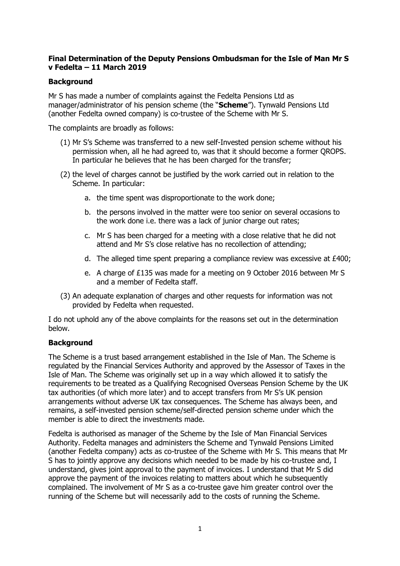# **Final Determination of the Deputy Pensions Ombudsman for the Isle of Man Mr S v Fedelta – 11 March 2019**

# **Background**

Mr S has made a number of complaints against the Fedelta Pensions Ltd as manager/administrator of his pension scheme (the "**Scheme**"). Tynwald Pensions Ltd (another Fedelta owned company) is co-trustee of the Scheme with Mr S.

The complaints are broadly as follows:

- (1) Mr S's Scheme was transferred to a new self-Invested pension scheme without his permission when, all he had agreed to, was that it should become a former QROPS. In particular he believes that he has been charged for the transfer;
- (2) the level of charges cannot be justified by the work carried out in relation to the Scheme. In particular:
	- a. the time spent was disproportionate to the work done;
	- b. the persons involved in the matter were too senior on several occasions to the work done i.e. there was a lack of junior charge out rates;
	- c. Mr S has been charged for a meeting with a close relative that he did not attend and Mr S's close relative has no recollection of attending;
	- d. The alleged time spent preparing a compliance review was excessive at £400;
	- e. A charge of £135 was made for a meeting on 9 October 2016 between Mr S and a member of Fedelta staff.
- (3) An adequate explanation of charges and other requests for information was not provided by Fedelta when requested.

I do not uphold any of the above complaints for the reasons set out in the determination below.

# **Background**

The Scheme is a trust based arrangement established in the Isle of Man. The Scheme is regulated by the Financial Services Authority and approved by the Assessor of Taxes in the Isle of Man. The Scheme was originally set up in a way which allowed it to satisfy the requirements to be treated as a Qualifying Recognised Overseas Pension Scheme by the UK tax authorities (of which more later) and to accept transfers from Mr S's UK pension arrangements without adverse UK tax consequences. The Scheme has always been, and remains, a self-invested pension scheme/self-directed pension scheme under which the member is able to direct the investments made.

Fedelta is authorised as manager of the Scheme by the Isle of Man Financial Services Authority. Fedelta manages and administers the Scheme and Tynwald Pensions Limited (another Fedelta company) acts as co-trustee of the Scheme with Mr S. This means that Mr S has to jointly approve any decisions which needed to be made by his co-trustee and, I understand, gives joint approval to the payment of invoices. I understand that Mr S did approve the payment of the invoices relating to matters about which he subsequently complained. The involvement of Mr S as a co-trustee gave him greater control over the running of the Scheme but will necessarily add to the costs of running the Scheme.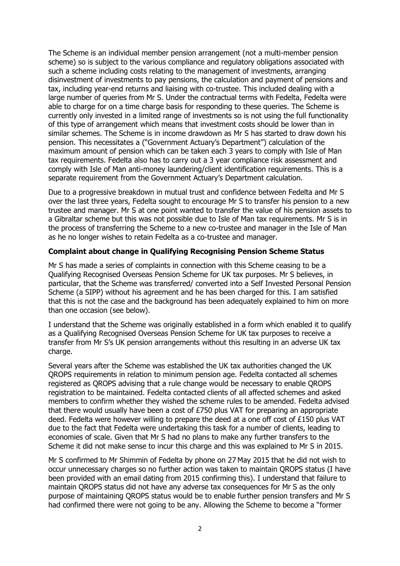The Scheme is an individual member pension arrangement (not a multi-member pension scheme) so is subject to the various compliance and regulatory obligations associated with such a scheme including costs relating to the management of investments, arranging disinvestment of investments to pay pensions, the calculation and payment of pensions and tax, including year-end returns and liaising with co-trustee. This included dealing with a large number of queries from Mr S. Under the contractual terms with Fedelta, Fedelta were able to charge for on a time charge basis for responding to these queries. The Scheme is currently only invested in a limited range of investments so is not using the full functionality of this type of arrangement which means that investment costs should be lower than in similar schemes. The Scheme is in income drawdown as Mr S has started to draw down his pension. This necessitates a ("Government Actuary's Department") calculation of the maximum amount of pension which can be taken each 3 years to comply with Isle of Man tax requirements. Fedelta also has to carry out a 3 year compliance risk assessment and comply with Isle of Man anti-money laundering/client identification requirements. This is a separate requirement from the Government Actuary's Department calculation.

Due to a progressive breakdown in mutual trust and confidence between Fedelta and Mr S over the last three years, Fedelta sought to encourage Mr S to transfer his pension to a new trustee and manager. Mr S at one point wanted to transfer the value of his pension assets to a Gibraltar scheme but this was not possible due to Isle of Man tax requirements. Mr S is in the process of transferring the Scheme to a new co-trustee and manager in the Isle of Man as he no longer wishes to retain Fedelta as a co-trustee and manager.

#### **Complaint about change in Qualifying Recognising Pension Scheme Status**

Mr S has made a series of complaints in connection with this Scheme ceasing to be a Qualifying Recognised Overseas Pension Scheme for UK tax purposes. Mr S believes, in particular, that the Scheme was transferred/ converted into a Self Invested Personal Pension Scheme (a SIPP) without his agreement and he has been charged for this. I am satisfied that this is not the case and the background has been adequately explained to him on more than one occasion (see below).

I understand that the Scheme was originally established in a form which enabled it to qualify as a Qualifying Recognised Overseas Pension Scheme for UK tax purposes to receive a transfer from Mr S's UK pension arrangements without this resulting in an adverse UK tax charge.

Several years after the Scheme was established the UK tax authorities changed the UK QROPS requirements in relation to minimum pension age. Fedelta contacted all schemes registered as QROPS advising that a rule change would be necessary to enable QROPS registration to be maintained. Fedelta contacted clients of all affected schemes and asked members to confirm whether they wished the scheme rules to be amended. Fedelta advised that there would usually have been a cost of £750 plus VAT for preparing an appropriate deed. Fedelta were however willing to prepare the deed at a one off cost of £150 plus VAT due to the fact that Fedelta were undertaking this task for a number of clients, leading to economies of scale. Given that Mr S had no plans to make any further transfers to the Scheme it did not make sense to incur this charge and this was explained to Mr S in 2015.

Mr S confirmed to Mr Shimmin of Fedelta by phone on 27 May 2015 that he did not wish to occur unnecessary charges so no further action was taken to maintain QROPS status (I have been provided with an email dating from 2015 confirming this). I understand that failure to maintain QROPS status did not have any adverse tax consequences for Mr S as the only purpose of maintaining QROPS status would be to enable further pension transfers and Mr S had confirmed there were not going to be any. Allowing the Scheme to become a "former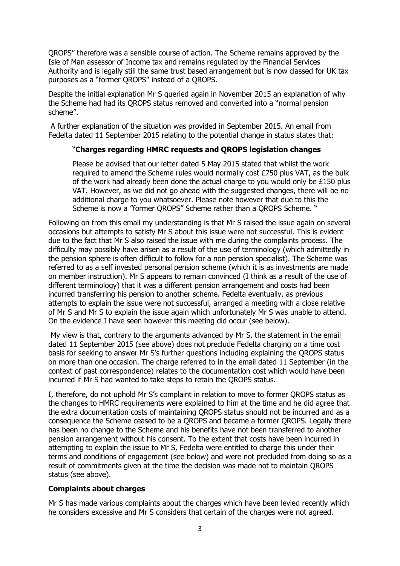QROPS" therefore was a sensible course of action. The Scheme remains approved by the Isle of Man assessor of Income tax and remains regulated by the Financial Services Authority and is legally still the same trust based arrangement but is now classed for UK tax purposes as a "former QROPS" instead of a QROPS.

Despite the initial explanation Mr S queried again in November 2015 an explanation of why the Scheme had had its QROPS status removed and converted into a "normal pension scheme".

A further explanation of the situation was provided in September 2015. An email from Fedelta dated 11 September 2015 relating to the potential change in status states that:

# "**Charges regarding HMRC requests and QROPS legislation changes**

Please be advised that our letter dated 5 May 2015 stated that whilst the work required to amend the Scheme rules would normally cost £750 plus VAT, as the bulk of the work had already been done the actual charge to you would only be £150 plus VAT. However, as we did not go ahead with the suggested changes, there will be no additional charge to you whatsoever. Please note however that due to this the Scheme is now a "former QROPS" Scheme rather than a QROPS Scheme. "

Following on from this email my understanding is that Mr S raised the issue again on several occasions but attempts to satisfy Mr S about this issue were not successful. This is evident due to the fact that Mr S also raised the issue with me during the complaints process. The difficulty may possibly have arisen as a result of the use of terminology (which admittedly in the pension sphere is often difficult to follow for a non pension specialist). The Scheme was referred to as a self invested personal pension scheme (which it is as investments are made on member instruction). Mr S appears to remain convinced (I think as a result of the use of different terminology) that it was a different pension arrangement and costs had been incurred transferring his pension to another scheme. Fedelta eventually, as previous attempts to explain the issue were not successful, arranged a meeting with a close relative of Mr S and Mr S to explain the issue again which unfortunately Mr S was unable to attend. On the evidence I have seen however this meeting did occur (see below).

My view is that, contrary to the arguments advanced by Mr S, the statement in the email dated 11 September 2015 (see above) does not preclude Fedelta charging on a time cost basis for seeking to answer Mr S's further questions including explaining the QROPS status on more than one occasion. The charge referred to in the email dated 11 September (in the context of past correspondence) relates to the documentation cost which would have been incurred if Mr S had wanted to take steps to retain the QROPS status.

I, therefore, do not uphold Mr S's complaint in relation to move to former QROPS status as the changes to HMRC requirements were explained to him at the time and he did agree that the extra documentation costs of maintaining QROPS status should not be incurred and as a consequence the Scheme ceased to be a QROPS and became a former QROPS. Legally there has been no change to the Scheme and his benefits have not been transferred to another pension arrangement without his consent. To the extent that costs have been incurred in attempting to explain the issue to Mr S, Fedelta were entitled to charge this under their terms and conditions of engagement (see below) and were not precluded from doing so as a result of commitments given at the time the decision was made not to maintain QROPS status (see above).

# **Complaints about charges**

Mr S has made various complaints about the charges which have been levied recently which he considers excessive and Mr S considers that certain of the charges were not agreed.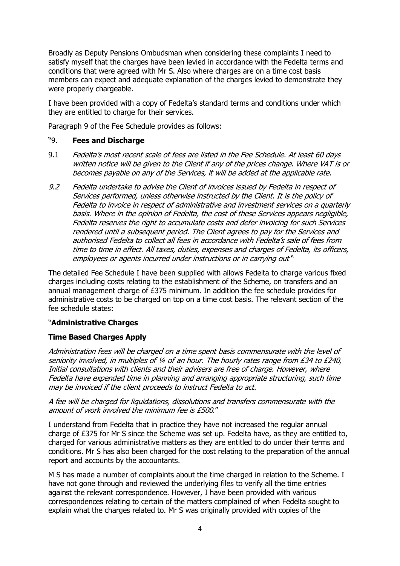Broadly as Deputy Pensions Ombudsman when considering these complaints I need to satisfy myself that the charges have been levied in accordance with the Fedelta terms and conditions that were agreed with Mr S. Also where charges are on a time cost basis members can expect and adequate explanation of the charges levied to demonstrate they were properly chargeable.

I have been provided with a copy of Fedelta's standard terms and conditions under which they are entitled to charge for their services.

Paragraph 9 of the Fee Schedule provides as follows:

#### "9. **Fees and Discharge**

- 9.1 Fedelta's most recent scale of fees are listed in the Fee Schedule. At least 60 days written notice will be given to the Client if any of the prices change. Where VAT is or becomes payable on any of the Services, it will be added at the applicable rate.
- 9.2 Fedelta undertake to advise the Client of invoices issued by Fedelta in respect of Services performed, unless otherwise instructed by the Client. It is the policy of Fedelta to invoice in respect of administrative and investment services on a quarterly basis. Where in the opinion of Fedelta, the cost of these Services appears negligible, Fedelta reserves the right to accumulate costs and defer invoicing for such Services rendered until a subsequent period. The Client agrees to pay for the Services and authorised Fedelta to collect all fees in accordance with Fedelta's sale of fees from time to time in effect. All taxes, duties, expenses and charges of Fedelta, its officers, employees or agents incurred under instructions or in carrying out "

The detailed Fee Schedule I have been supplied with allows Fedelta to charge various fixed charges including costs relating to the establishment of the Scheme, on transfers and an annual management charge of £375 minimum. In addition the fee schedule provides for administrative costs to be charged on top on a time cost basis. The relevant section of the fee schedule states:

# "**Administrative Charges**

# **Time Based Charges Apply**

Administration fees will be charged on a time spent basis commensurate with the level of seniority involved, in multiples of 1/4 of an hour. The hourly rates range from £34 to £240, Initial consultations with clients and their advisers are free of charge. However, where Fedelta have expended time in planning and arranging appropriate structuring, such time may be invoiced if the client proceeds to instruct Fedelta to act.

A fee will be charged for liquidations, dissolutions and transfers commensurate with the amount of work involved the minimum fee is £500."

I understand from Fedelta that in practice they have not increased the regular annual charge of £375 for Mr S since the Scheme was set up. Fedelta have, as they are entitled to, charged for various administrative matters as they are entitled to do under their terms and conditions. Mr S has also been charged for the cost relating to the preparation of the annual report and accounts by the accountants.

M S has made a number of complaints about the time charged in relation to the Scheme. I have not gone through and reviewed the underlying files to verify all the time entries against the relevant correspondence. However, I have been provided with various correspondences relating to certain of the matters complained of when Fedelta sought to explain what the charges related to. Mr S was originally provided with copies of the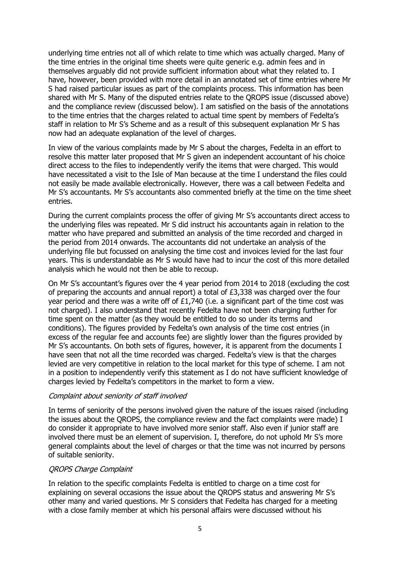underlying time entries not all of which relate to time which was actually charged. Many of the time entries in the original time sheets were quite generic e.g. admin fees and in themselves arguably did not provide sufficient information about what they related to. I have, however, been provided with more detail in an annotated set of time entries where Mr S had raised particular issues as part of the complaints process. This information has been shared with Mr S. Many of the disputed entries relate to the QROPS issue (discussed above) and the compliance review (discussed below). I am satisfied on the basis of the annotations to the time entries that the charges related to actual time spent by members of Fedelta's staff in relation to Mr S's Scheme and as a result of this subsequent explanation Mr S has now had an adequate explanation of the level of charges.

In view of the various complaints made by Mr S about the charges, Fedelta in an effort to resolve this matter later proposed that Mr S given an independent accountant of his choice direct access to the files to independently verify the items that were charged. This would have necessitated a visit to the Isle of Man because at the time I understand the files could not easily be made available electronically. However, there was a call between Fedelta and Mr S's accountants. Mr S's accountants also commented briefly at the time on the time sheet entries.

During the current complaints process the offer of giving Mr S's accountants direct access to the underlying files was repeated. Mr S did instruct his accountants again in relation to the matter who have prepared and submitted an analysis of the time recorded and charged in the period from 2014 onwards. The accountants did not undertake an analysis of the underlying file but focussed on analysing the time cost and invoices levied for the last four years. This is understandable as Mr S would have had to incur the cost of this more detailed analysis which he would not then be able to recoup.

On Mr S's accountant's figures over the 4 year period from 2014 to 2018 (excluding the cost of preparing the accounts and annual report) a total of £3,338 was charged over the four year period and there was a write off of £1,740 (i.e. a significant part of the time cost was not charged). I also understand that recently Fedelta have not been charging further for time spent on the matter (as they would be entitled to do so under its terms and conditions). The figures provided by Fedelta's own analysis of the time cost entries (in excess of the regular fee and accounts fee) are slightly lower than the figures provided by Mr S's accountants. On both sets of figures, however, it is apparent from the documents I have seen that not all the time recorded was charged. Fedelta's view is that the charges levied are very competitive in relation to the local market for this type of scheme. I am not in a position to independently verify this statement as I do not have sufficient knowledge of charges levied by Fedelta's competitors in the market to form a view.

#### Complaint about seniority of staff involved

In terms of seniority of the persons involved given the nature of the issues raised (including the issues about the QROPS, the compliance review and the fact complaints were made) I do consider it appropriate to have involved more senior staff. Also even if junior staff are involved there must be an element of supervision. I, therefore, do not uphold Mr S's more general complaints about the level of charges or that the time was not incurred by persons of suitable seniority.

#### QROPS Charge Complaint

In relation to the specific complaints Fedelta is entitled to charge on a time cost for explaining on several occasions the issue about the QROPS status and answering Mr S's other many and varied questions. Mr S considers that Fedelta has charged for a meeting with a close family member at which his personal affairs were discussed without his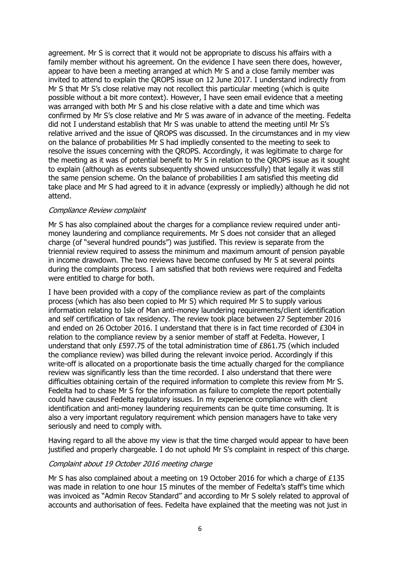agreement. Mr S is correct that it would not be appropriate to discuss his affairs with a family member without his agreement. On the evidence I have seen there does, however, appear to have been a meeting arranged at which Mr S and a close family member was invited to attend to explain the QROPS issue on 12 June 2017. I understand indirectly from Mr S that Mr S's close relative may not recollect this particular meeting (which is quite possible without a bit more context). However, I have seen email evidence that a meeting was arranged with both Mr S and his close relative with a date and time which was confirmed by Mr S's close relative and Mr S was aware of in advance of the meeting. Fedelta did not I understand establish that Mr S was unable to attend the meeting until Mr S's relative arrived and the issue of QROPS was discussed. In the circumstances and in my view on the balance of probabilities Mr S had impliedly consented to the meeting to seek to resolve the issues concerning with the QROPS. Accordingly, it was legitimate to charge for the meeting as it was of potential benefit to Mr S in relation to the QROPS issue as it sought to explain (although as events subsequently showed unsuccessfully) that legally it was still the same pension scheme. On the balance of probabilities I am satisfied this meeting did take place and Mr S had agreed to it in advance (expressly or impliedly) although he did not attend.

#### Compliance Review complaint

Mr S has also complained about the charges for a compliance review required under antimoney laundering and compliance requirements. Mr S does not consider that an alleged charge (of "several hundred pounds") was justified. This review is separate from the triennial review required to assess the minimum and maximum amount of pension payable in income drawdown. The two reviews have become confused by Mr S at several points during the complaints process. I am satisfied that both reviews were required and Fedelta were entitled to charge for both.

I have been provided with a copy of the compliance review as part of the complaints process (which has also been copied to Mr S) which required Mr S to supply various information relating to Isle of Man anti-money laundering requirements/client identification and self certification of tax residency. The review took place between 27 September 2016 and ended on 26 October 2016. I understand that there is in fact time recorded of £304 in relation to the compliance review by a senior member of staff at Fedelta. However, I understand that only £597.75 of the total administration time of £861.75 (which included the compliance review) was billed during the relevant invoice period. Accordingly if this write-off is allocated on a proportionate basis the time actually charged for the compliance review was significantly less than the time recorded. I also understand that there were difficulties obtaining certain of the required information to complete this review from Mr S. Fedelta had to chase Mr S for the information as failure to complete the report potentially could have caused Fedelta regulatory issues. In my experience compliance with client identification and anti-money laundering requirements can be quite time consuming. It is also a very important regulatory requirement which pension managers have to take very seriously and need to comply with.

Having regard to all the above my view is that the time charged would appear to have been justified and properly chargeable. I do not uphold Mr S's complaint in respect of this charge.

#### Complaint about 19 October 2016 meeting charge

Mr S has also complained about a meeting on 19 October 2016 for which a charge of £135 was made in relation to one hour 15 minutes of the member of Fedelta's staff's time which was invoiced as "Admin Recov Standard" and according to Mr S solely related to approval of accounts and authorisation of fees. Fedelta have explained that the meeting was not just in